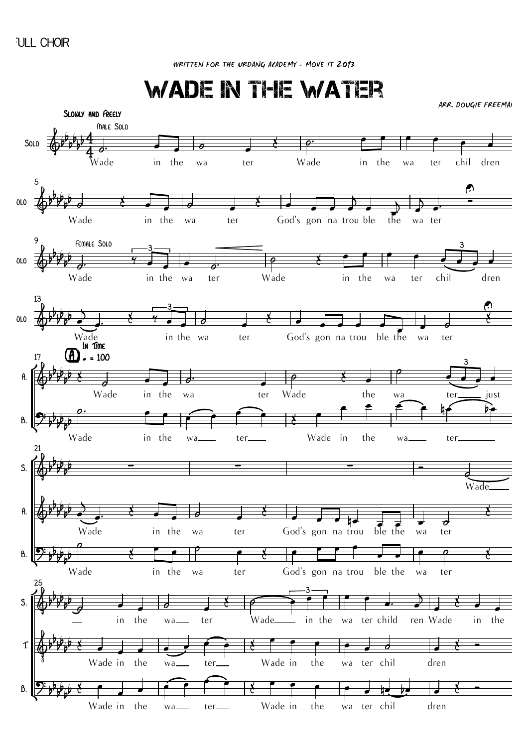WRITTEN FOR THE URDANG ACADEMY - MOVE IT 2013

**WADE IN THE WATER** 

ARR. DOUGIE FREEMAN

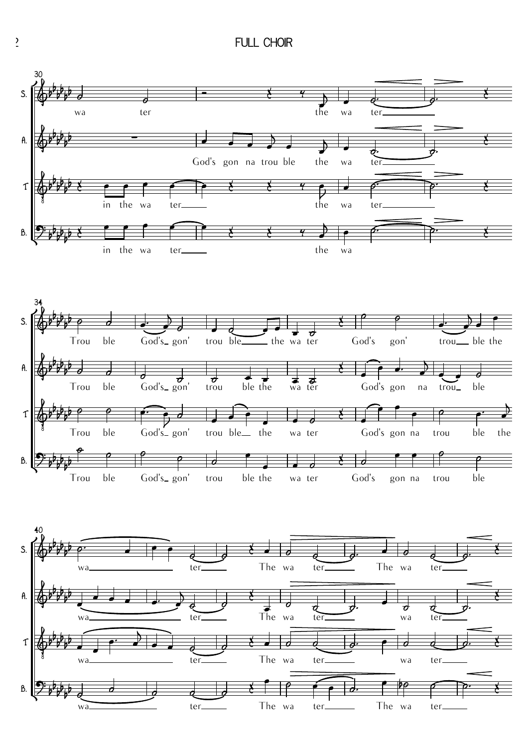2 **FULL CHOIR**